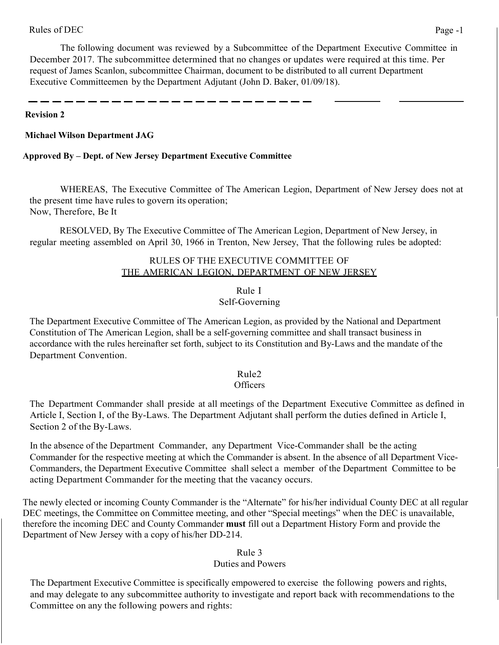The following document was reviewed by a Subcommittee of the Department Executive Committee in December 2017. The subcommittee determined that no changes or updates were required at this time. Per request of James Scanlon, subcommittee Chairman, document to be distributed to all current Department Executive Committeemen by the Department Adjutant (John D. Baker, 01/09/18).

### **Revision 2**

### **Michael Wilson Department JAG**

#### **Approved By – Dept. of New Jersey Department Executive Committee**

WHEREAS, The Executive Committee of The American Legion, Department of New Jersey does not at the present time have rules to govern its operation; Now, Therefore, Be It

RESOLVED, By The Executive Committee of The American Legion, Department of New Jersey, in regular meeting assembled on April 30, 1966 in Trenton, New Jersey, That the following rules be adopted:

## RULES OF THE EXECUTIVE COMMITTEE OF THE AMERICAN LEGION, DEPARTMENT OF NEW JERSEY

### Rule I

# Self-Governing

The Department Executive Committee of The American Legion, as provided by the National and Department Constitution of The American Legion, shall be a self-governing committee and shall transact business in accordance with the rules hereinafter set forth, subject to its Constitution and By-Laws and the mandate of the Department Convention.

### Rule2

### **Officers**

The Department Commander shall preside at all meetings of the Department Executive Committee as defined in Article I, Section I, of the By-Laws. The Department Adjutant shall perform the duties defined in Article I, Section 2 of the By-Laws.

In the absence of the Department Commander, any Department Vice-Commander shall be the acting Commander for the respective meeting at which the Commander is absent. In the absence of all Department Vice-Commanders, the Department Executive Committee shall select a member of the Department Committee to be acting Department Commander for the meeting that the vacancy occurs.

The newly elected or incoming County Commander is the "Alternate" for his/her individual County DEC at all regular DEC meetings, the Committee on Committee meeting, and other "Special meetings" when the DEC is unavailable, therefore the incoming DEC and County Commander **must** fill out a Department History Form and provide the Department of New Jersey with a copy of his/her DD-214.

# Rule 3

### Duties and Powers

The Department Executive Committee is specifically empowered to exercise the following powers and rights, and may delegate to any subcommittee authority to investigate and report back with recommendations to the Committee on any the following powers and rights: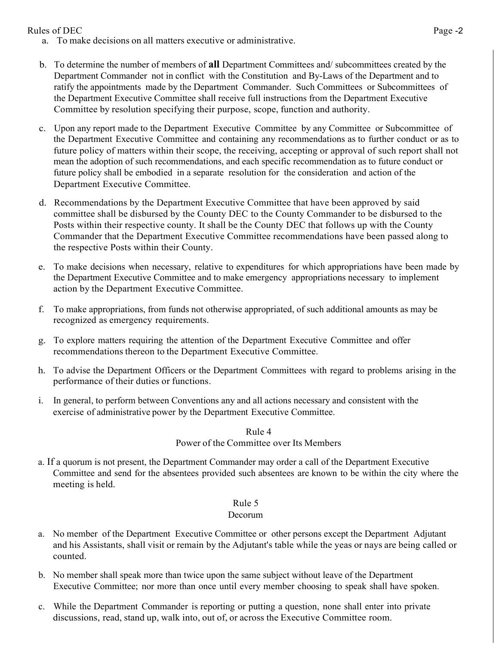Rules of DEC Page -2

- a. To make decisions on all matters executive or administrative.
- b. To determine the number of members of **all** Department Committees and/ subcommittees created by the Department Commander not in conflict with the Constitution and By-Laws of the Department and to ratify the appointments made by the Department Commander. Such Committees or Subcommittees of the Department Executive Committee shall receive full instructions from the Department Executive Committee by resolution specifying their purpose, scope, function and authority.
- c. Upon any report made to the Department Executive Committee by any Committee or Subcommittee of the Department Executive Committee and containing any recommendations as to further conduct or as to future policy of matters within their scope, the receiving, accepting or approval of such report shall not mean the adoption of such recommendations, and each specific recommendation as to future conduct or future policy shall be embodied in a separate resolution for the consideration and action of the Department Executive Committee.
- d. Recommendations by the Department Executive Committee that have been approved by said committee shall be disbursed by the County DEC to the County Commander to be disbursed to the Posts within their respective county. It shall be the County DEC that follows up with the County Commander that the Department Executive Committee recommendations have been passed along to the respective Posts within their County.
- e. To make decisions when necessary, relative to expenditures for which appropriations have been made by the Department Executive Committee and to make emergency appropriations necessary to implement action by the Department Executive Committee.
- f. To make appropriations, from funds not otherwise appropriated, of such additional amounts as may be recognized as emergency requirements.
- g. To explore matters requiring the attention of the Department Executive Committee and offer recommendations thereon to the Department Executive Committee.
- h. To advise the Department Officers or the Department Committees with regard to problems arising in the performance of their duties or functions.
- i. In general, to perform between Conventions any and all actions necessary and consistent with the exercise of administrative power by the Department Executive Committee.

Rule 4

## Power of the Committee over Its Members

a. If a quorum is not present, the Department Commander may order a call of the Department Executive Committee and send for the absentees provided such absentees are known to be within the city where the meeting is held.

### Rule 5

### Decorum

- a. No member of the Department Executive Committee or other persons except the Department Adjutant and his Assistants, shall visit or remain by the Adjutant's table while the yeas or nays are being called or counted.
- b. No member shall speak more than twice upon the same subject without leave of the Department Executive Committee; nor more than once until every member choosing to speak shall have spoken.
- c. While the Department Commander is reporting or putting a question, none shall enter into private discussions, read, stand up, walk into, out of, or across the Executive Committee room.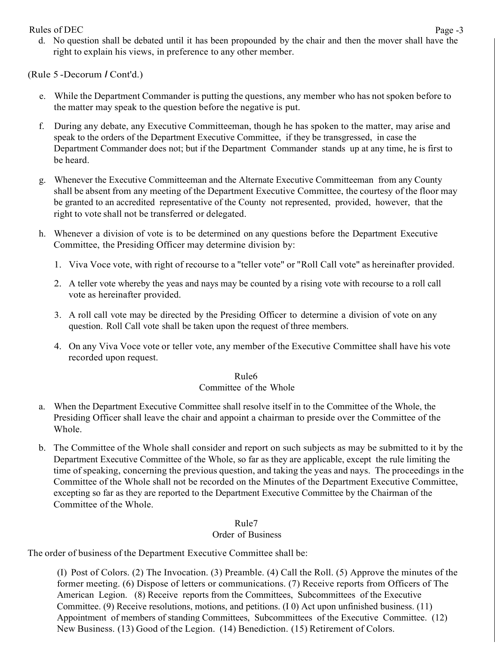Rules of DEC Page -3 d. No question shall be debated until it has been propounded by the chair and then the mover shall have the right to explain his views, in preference to any other member.

(Rule 5 -Decorum *I* Cont'd.)

- e. While the Department Commander is putting the questions, any member who has not spoken before to the matter may speak to the question before the negative is put.
- f. During any debate, any Executive Committeeman, though he has spoken to the matter, may arise and speak to the orders of the Department Executive Committee, if they be transgressed, in case the Department Commander does not; but if the Department Commander stands up at any time, he is first to be heard.
- g. Whenever the Executive Committeeman and the Alternate Executive Committeeman from any County shall be absent from any meeting of the Department Executive Committee, the courtesy of the floor may be granted to an accredited representative of the County not represented, provided, however, that the right to vote shall not be transferred or delegated.
- h. Whenever a division of vote is to be determined on any questions before the Department Executive Committee, the Presiding Officer may determine division by:
	- 1. Viva Voce vote, with right of recourse to a "teller vote" or "Roll Call vote" as hereinafter provided.
	- 2. A teller vote whereby the yeas and nays may be counted by a rising vote with recourse to a roll call vote as hereinafter provided.
	- 3. A roll call vote may be directed by the Presiding Officer to determine a division of vote on any question. Roll Call vote shall be taken upon the request of three members.
	- 4. On any Viva Voce vote or teller vote, any member of the Executive Committee shall have his vote recorded upon request.

# Rule6

# Committee of the Whole

- a. When the Department Executive Committee shall resolve itself in to the Committee of the Whole, the Presiding Officer shall leave the chair and appoint a chairman to preside over the Committee of the Whole.
- b. The Committee of the Whole shall consider and report on such subjects as may be submitted to it by the Department Executive Committee of the Whole, so far as they are applicable, except the rule limiting the time of speaking, concerning the previous question, and taking the yeas and nays. The proceedings in the Committee of the Whole shall not be recorded on the Minutes of the Department Executive Committee, excepting so far as they are reported to the Department Executive Committee by the Chairman of the Committee of the Whole.

# Rule7

# Order of Business

The order of business of the Department Executive Committee shall be:

(I) Post of Colors. (2) The Invocation. (3) Preamble. (4) Call the Roll. (5) Approve the minutes of the former meeting. (6) Dispose of letters or communications. (7) Receive reports from Officers of The American Legion. (8) Receive reports from the Committees, Subcommittees of the Executive Committee. (9) Receive resolutions, motions, and petitions. (I 0) Act upon unfinished business. (11) Appointment of members of standing Committees, Subcommittees of the Executive Committee. (12) New Business. (13) Good of the Legion. (14) Benediction. (15) Retirement of Colors.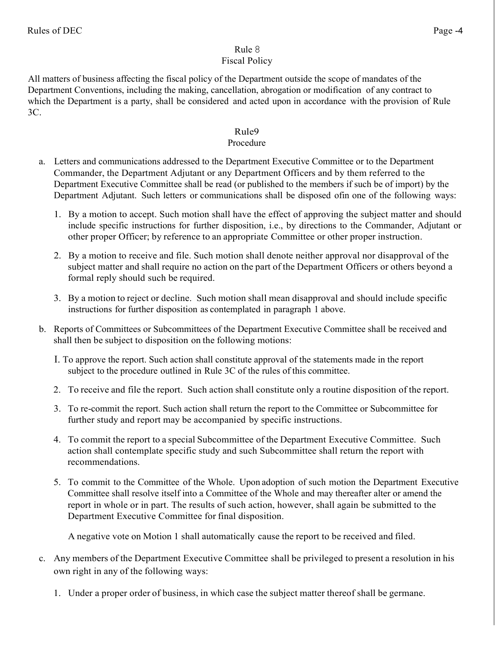# Rule 8

# Fiscal Policy

All matters of business affecting the fiscal policy of the Department outside the scope of mandates of the Department Conventions, including the making, cancellation, abrogation or modification of any contract to which the Department is a party, shall be considered and acted upon in accordance with the provision of Rule 3C.

# Rule9

# Procedure

- a. Letters and communications addressed to the Department Executive Committee or to the Department Commander, the Department Adjutant or any Department Officers and by them referred to the Department Executive Committee shall be read (or published to the members if such be of import) by the Department Adjutant. Such letters or communications shall be disposed ofin one of the following ways:
	- 1. By a motion to accept. Such motion shall have the effect of approving the subject matter and should include specific instructions for further disposition, i.e., by directions to the Commander, Adjutant or other proper Officer; by reference to an appropriate Committee or other proper instruction.
	- 2. By a motion to receive and file. Such motion shall denote neither approval nor disapproval of the subject matter and shall require no action on the part of the Department Officers or others beyond a formal reply should such be required.
	- 3. By a motion to reject or decline. Such motion shall mean disapproval and should include specific instructions for further disposition as contemplated in paragraph 1 above.
- b. Reports of Committees or Subcommittees of the Department Executive Committee shall be received and shall then be subject to disposition on the following motions:
	- I. To approve the report. Such action shall constitute approval of the statements made in the report subject to the procedure outlined in Rule 3C of the rules of this committee.
	- 2. To receive and file the report. Such action shall constitute only a routine disposition of the report.
	- 3. To re-commit the report. Such action shall return the report to the Committee or Subcommittee for further study and report may be accompanied by specific instructions.
	- 4. To commit the report to a special Subcommittee of the Department Executive Committee. Such action shall contemplate specific study and such Subcommittee shall return the report with recommendations.
	- 5. To commit to the Committee of the Whole. Upon adoption of such motion the Department Executive Committee shall resolve itself into a Committee of the Whole and may thereafter alter or amend the report in whole or in part. The results of such action, however, shall again be submitted to the Department Executive Committee for final disposition.

A negative vote on Motion 1 shall automatically cause the report to be received and filed.

- c. Any members of the Department Executive Committee shall be privileged to present a resolution in his own right in any of the following ways:
	- 1. Under a proper order of business, in which case the subject matter thereof shall be germane.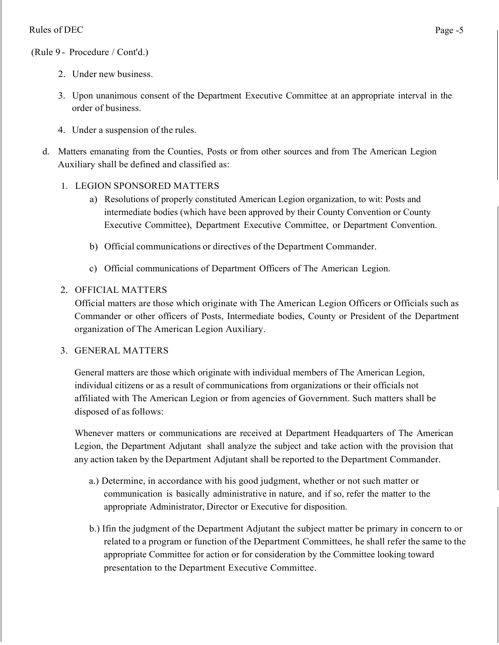## (Rule 9 - Procedure / Cont'd.)

- 2. Under new business.
- 3. Upon unanimous consent of the Department Executive Committee at an appropriate interval in the order of business.
- 4. Under a suspension of the rules.
- d. Matters emanating from the Counties, Posts or from other sources and from The American Legion Auxiliary shall be defined and classified as:
	- 1. LEGION SPONSORED MATTERS
		- a) Resolutions of properly constituted American Legion organization, to wit: Posts and intermediate bodies (which have been approved by their County Convention or County Executive Committee), Department Executive Committee, or Department Convention.
		- b) Official communications or directives of the Department Commander.
		- c) Official communications of Department Officers of The American Legion.

# 2. OFFICIAL MATTERS

Official matters are those which originate with The American Legion Officers or Officials such as Commander or other officers of Posts, Intermediate bodies, County or President of the Department organization of The American Legion Auxiliary.

# 3. GENERAL MATTERS

General matters are those which originate with individual members of The American Legion, individual citizens or as a result of communications from organizations or their officials not affiliated with The American Legion or from agencies of Government. Such matters shall be disposed of as follows:

Whenever matters or communications are received at Department Headquarters of The American Legion, the Department Adjutant shall analyze the subject and take action with the provision that any action taken by the Department Adjutant shall be reported to the Department Commander.

- a.) Determine, in accordance with his good judgment, whether or not such matter or communication is basically administrative in nature, and if so, refer the matter to the appropriate Administrator, Director or Executive for disposition.
- b.) Ifin the judgment of the Department Adjutant the subject matter be primary in concern to or related to a program or function of the Department Committees, he shall refer the same to the appropriate Committee for action or for consideration by the Committee looking toward presentation to the Department Executive Committee.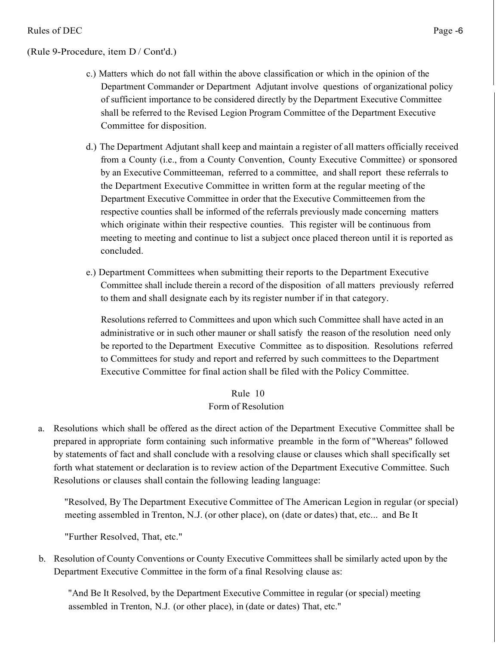#### (Rule 9-Procedure, item D / Cont'd.)

- c.) Matters which do not fall within the above classification or which in the opinion of the Department Commander or Department Adjutant involve questions of organizational policy of sufficient importance to be considered directly by the Department Executive Committee shall be referred to the Revised Legion Program Committee of the Department Executive Committee for disposition.
- d.) The Department Adjutant shall keep and maintain a register of all matters officially received from a County (i.e., from a County Convention, County Executive Committee) or sponsored by an Executive Committeeman, referred to a committee, and shall report these referrals to the Department Executive Committee in written form at the regular meeting of the Department Executive Committee in order that the Executive Committeemen from the respective counties shall be informed of the referrals previously made concerning matters which originate within their respective counties. This register will be continuous from meeting to meeting and continue to list a subject once placed thereon until it is reported as concluded.
- e.) Department Committees when submitting their reports to the Department Executive Committee shall include therein a record of the disposition of all matters previously referred to them and shall designate each by its register number if in that category.

Resolutions referred to Committees and upon which such Committee shall have acted in an administrative or in such other mauner or shall satisfy the reason of the resolution need only be reported to the Department Executive Committee as to disposition. Resolutions referred to Committees for study and report and referred by such committees to the Department Executive Committee for final action shall be filed with the Policy Committee.

# Rule 10 Form of Resolution

a. Resolutions which shall be offered as the direct action of the Department Executive Committee shall be prepared in appropriate form containing such informative preamble in the form of "Whereas" followed by statements of fact and shall conclude with a resolving clause or clauses which shall specifically set forth what statement or declaration is to review action of the Department Executive Committee. Such Resolutions or clauses shall contain the following leading language:

"Resolved, By The Department Executive Committee of The American Legion in regular (or special) meeting assembled in Trenton, N.J. (or other place), on (date or dates) that, etc... and Be It

"Further Resolved, That, etc."

b. Resolution of County Conventions or County Executive Committees shall be similarly acted upon by the Department Executive Committee in the form of a final Resolving clause as:

"And Be It Resolved, by the Department Executive Committee in regular (or special) meeting assembled in Trenton, N.J. (or other place), in (date or dates) That, etc."